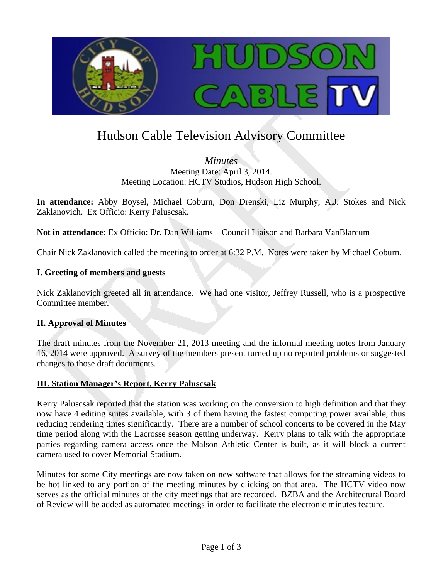

# Hudson Cable Television Advisory Committee

*Minutes* Meeting Date: April 3, 2014. Meeting Location: HCTV Studios, Hudson High School.

**In attendance:** Abby Boysel, Michael Coburn, Don Drenski, Liz Murphy, A.J. Stokes and Nick Zaklanovich. Ex Officio: Kerry Paluscsak.

**Not in attendance:** Ex Officio: Dr. Dan Williams – Council Liaison and Barbara VanBlarcum

Chair Nick Zaklanovich called the meeting to order at 6:32 P.M. Notes were taken by Michael Coburn.

#### **I. Greeting of members and guests**

Nick Zaklanovich greeted all in attendance. We had one visitor, Jeffrey Russell, who is a prospective Committee member.

# **II. Approval of Minutes**

The draft minutes from the November 21, 2013 meeting and the informal meeting notes from January 16, 2014 were approved. A survey of the members present turned up no reported problems or suggested changes to those draft documents.

# **III. Station Manager's Report, Kerry Paluscsak**

Kerry Paluscsak reported that the station was working on the conversion to high definition and that they now have 4 editing suites available, with 3 of them having the fastest computing power available, thus reducing rendering times significantly. There are a number of school concerts to be covered in the May time period along with the Lacrosse season getting underway. Kerry plans to talk with the appropriate parties regarding camera access once the Malson Athletic Center is built, as it will block a current camera used to cover Memorial Stadium.

Minutes for some City meetings are now taken on new software that allows for the streaming videos to be hot linked to any portion of the meeting minutes by clicking on that area. The HCTV video now serves as the official minutes of the city meetings that are recorded. BZBA and the Architectural Board of Review will be added as automated meetings in order to facilitate the electronic minutes feature.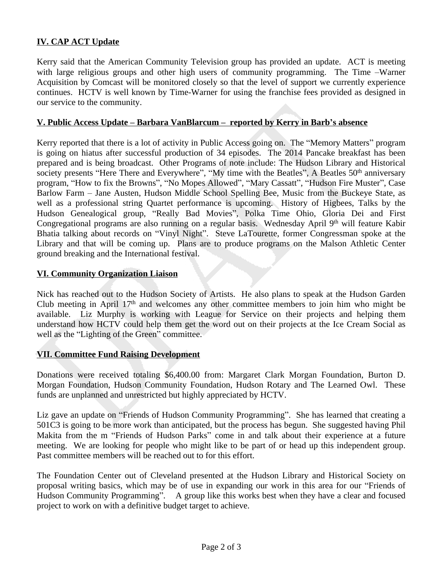# **IV. CAP ACT Update**

Kerry said that the American Community Television group has provided an update. ACT is meeting with large religious groups and other high users of community programming. The Time –Warner Acquisition by Comcast will be monitored closely so that the level of support we currently experience continues. HCTV is well known by Time-Warner for using the franchise fees provided as designed in our service to the community.

#### **V. Public Access Update – Barbara VanBlarcum – reported by Kerry in Barb's absence**

Kerry reported that there is a lot of activity in Public Access going on. The "Memory Matters" program is going on hiatus after successful production of 34 episodes. The 2014 Pancake breakfast has been prepared and is being broadcast. Other Programs of note include: The Hudson Library and Historical society presents "Here There and Everywhere", "My time with the Beatles", A Beatles 50<sup>th</sup> anniversary program, "How to fix the Browns", "No Mopes Allowed", "Mary Cassatt", "Hudson Fire Muster", Case Barlow Farm – Jane Austen, Hudson Middle School Spelling Bee, Music from the Buckeye State, as well as a professional string Quartet performance is upcoming. History of Higbees, Talks by the Hudson Genealogical group, "Really Bad Movies", Polka Time Ohio, Gloria Dei and First Congregational programs are also running on a regular basis. Wednesday April 9th will feature Kabir Bhatia talking about records on "Vinyl Night". Steve LaTourette, former Congressman spoke at the Library and that will be coming up. Plans are to produce programs on the Malson Athletic Center ground breaking and the International festival.

#### **VI. Community Organization Liaison**

Nick has reached out to the Hudson Society of Artists. He also plans to speak at the Hudson Garden Club meeting in April 17th and welcomes any other committee members to join him who might be available. Liz Murphy is working with League for Service on their projects and helping them understand how HCTV could help them get the word out on their projects at the Ice Cream Social as well as the "Lighting of the Green" committee.

#### **VII. Committee Fund Raising Development**

Donations were received totaling \$6,400.00 from: Margaret Clark Morgan Foundation, Burton D. Morgan Foundation, Hudson Community Foundation, Hudson Rotary and The Learned Owl. These funds are unplanned and unrestricted but highly appreciated by HCTV.

Liz gave an update on "Friends of Hudson Community Programming". She has learned that creating a 501C3 is going to be more work than anticipated, but the process has begun. She suggested having Phil Makita from the m "Friends of Hudson Parks" come in and talk about their experience at a future meeting. We are looking for people who might like to be part of or head up this independent group. Past committee members will be reached out to for this effort.

The Foundation Center out of Cleveland presented at the Hudson Library and Historical Society on proposal writing basics, which may be of use in expanding our work in this area for our "Friends of Hudson Community Programming". A group like this works best when they have a clear and focused project to work on with a definitive budget target to achieve.